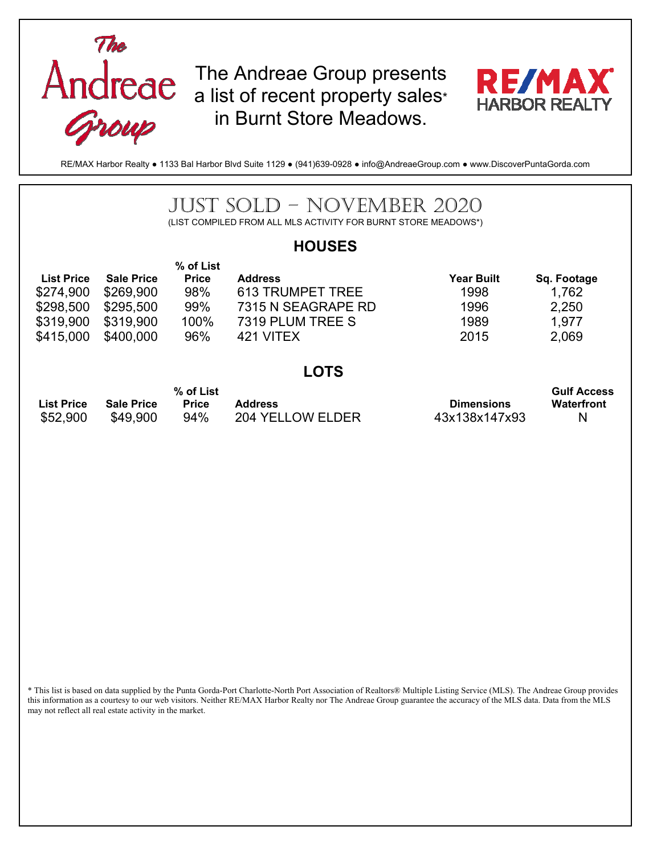

The Andreae Group presents a list of recent property sales\* in Burnt Store Meadows.



RE/MAX Harbor Realty ● 1133 Bal Harbor Blvd Suite 1129 ● (941)639-0928 ● info@AndreaeGroup.com ● www.DiscoverPuntaGorda.com

## JUST SOLD – NOVEMBER 2020 (LIST COMPILED FROM ALL MLS ACTIVITY FOR BURNT STORE MEADOWS\*) **HOUSES List Price Sale Price % of List Price Address Address Address Address Address Address Address Address Address Address Address Address Address A** \$274,900 \$269,900 98% 613 TRUMPET TREE 1998 1,762 \$298,500 \$295,500 99% 7315 N SEAGRAPE RD 1996 2,250 \$319,900 \$319,900 100% 7319 PLUM TREE S 1989 1,977 \$415,000 \$400,000 96% 421 VITEX 2015 2,069 **LOTS List Price Sale Price % of List Primers Address Address Address Address Address Address Address Address Address Address Address Address Address Address Address Address Address Address Address Address Address Address Address Address Address Address Addre Gulf Access Waterfront**  \$52,900 \$49,900 94% 204 YELLOW ELDER 43x138x147x93 N

\* This list is based on data supplied by the Punta Gorda-Port Charlotte-North Port Association of Realtors® Multiple Listing Service (MLS). The Andreae Group provides this information as a courtesy to our web visitors. Neither RE/MAX Harbor Realty nor The Andreae Group guarantee the accuracy of the MLS data. Data from the MLS may not reflect all real estate activity in the market.